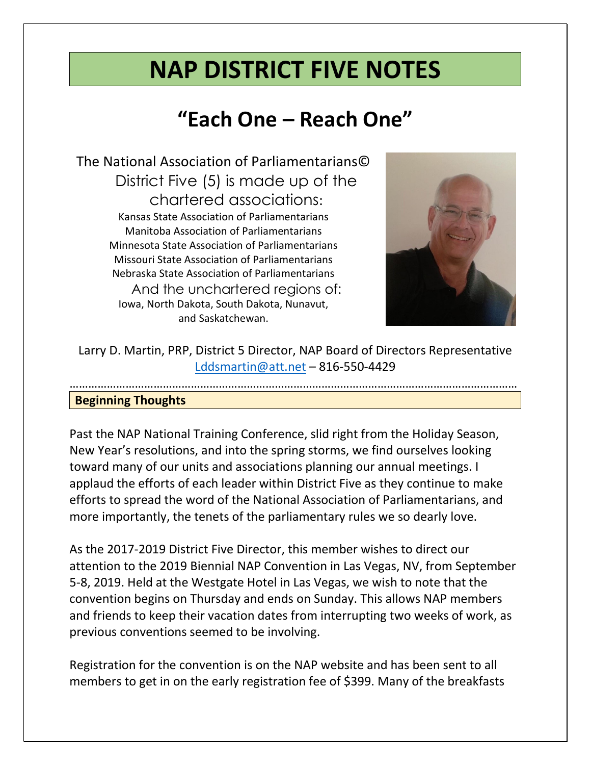# **NAP DISTRICT FIVE NOTES**

## **"Each One – Reach One"**

The National Association of Parliamentarians© District Five (5) is made up of the chartered associations: Kansas State Association of Parliamentarians Manitoba Association of Parliamentarians Minnesota State Association of Parliamentarians Missouri State Association of Parliamentarians Nebraska State Association of Parliamentarians And the unchartered regions of: Iowa, North Dakota, South Dakota, Nunavut, and Saskatchewan.



Larry D. Martin, PRP, District 5 Director, NAP Board of Directors Representative [Lddsmartin@att.net](mailto:Lddsmartin@att.net) – 816-550-4429

………………………………………………………………………………………………………………………………

#### **Beginning Thoughts**

Past the NAP National Training Conference, slid right from the Holiday Season, New Year's resolutions, and into the spring storms, we find ourselves looking toward many of our units and associations planning our annual meetings. I applaud the efforts of each leader within District Five as they continue to make efforts to spread the word of the National Association of Parliamentarians, and more importantly, the tenets of the parliamentary rules we so dearly love.

As the 2017-2019 District Five Director, this member wishes to direct our attention to the 2019 Biennial NAP Convention in Las Vegas, NV, from September 5-8, 2019. Held at the Westgate Hotel in Las Vegas, we wish to note that the convention begins on Thursday and ends on Sunday. This allows NAP members and friends to keep their vacation dates from interrupting two weeks of work, as previous conventions seemed to be involving.

Registration for the convention is on the NAP website and has been sent to all members to get in on the early registration fee of \$399. Many of the breakfasts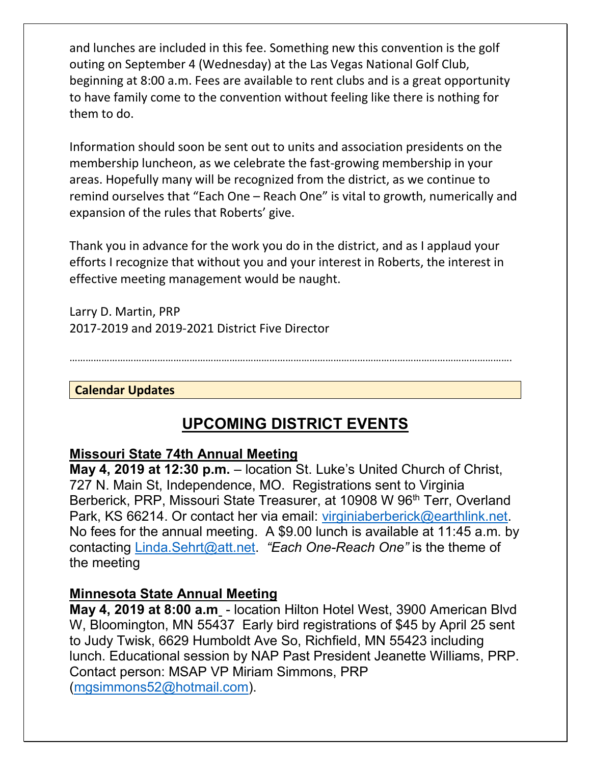and lunches are included in this fee. Something new this convention is the golf outing on September 4 (Wednesday) at the Las Vegas National Golf Club, beginning at 8:00 a.m. Fees are available to rent clubs and is a great opportunity to have family come to the convention without feeling like there is nothing for them to do.

Information should soon be sent out to units and association presidents on the membership luncheon, as we celebrate the fast-growing membership in your areas. Hopefully many will be recognized from the district, as we continue to remind ourselves that "Each One – Reach One" is vital to growth, numerically and expansion of the rules that Roberts' give.

Thank you in advance for the work you do in the district, and as I applaud your efforts I recognize that without you and your interest in Roberts, the interest in effective meeting management would be naught.

Larry D. Martin, PRP 2017-2019 and 2019-2021 District Five Director

………………………………………………………………………………………………………………………………………………….

**Calendar Updates**

## **UPCOMING DISTRICT EVENTS**

## **Missouri State 74th Annual Meeting**

**May 4, 2019 at 12:30 p.m.** – location St. Luke's United Church of Christ, 727 N. Main St, Independence, MO. Registrations sent to Virginia Berberick, PRP, Missouri State Treasurer, at 10908 W 96<sup>th</sup> Terr, Overland Park, KS 66214. Or contact her via email: [virginiaberberick@earthlink.net.](mailto:virginiaberberick@earthlink.net) No fees for the annual meeting. A \$9.00 lunch is available at 11:45 a.m. by contacting [Linda.Sehrt@att.net.](mailto:Linda.Sehrt@att.net) *"Each One-Reach One"* is the theme of the meeting

#### **Minnesota State Annual Meeting**

**May 4, 2019 at 8:00 a.m** - location Hilton Hotel West, 3900 American Blvd W, Bloomington, MN 55437 Early bird registrations of \$45 by April 25 sent to Judy Twisk, 6629 Humboldt Ave So, Richfield, MN 55423 including lunch. Educational session by NAP Past President Jeanette Williams, PRP. Contact person: MSAP VP Miriam Simmons, PRP [\(mgsimmons52@hotmail.com\)](mailto:mgsimmons52@hotmail.com).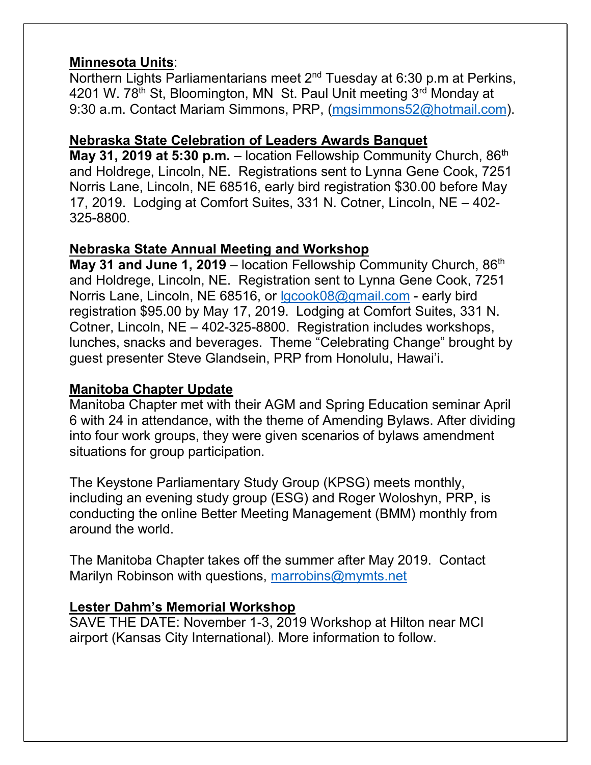## **Minnesota Units**:

Northern Lights Parliamentarians meet  $2^{nd}$  Tuesday at 6:30 p.m at Perkins, 4201 W. 78<sup>th</sup> St, Bloomington, MN St. Paul Unit meeting 3<sup>rd</sup> Monday at 9:30 a.m. Contact Mariam Simmons, PRP, [\(mgsimmons52@hotmail.com\)](mailto:mgsimmons52@hotmail.com).

## **Nebraska State Celebration of Leaders Awards Banquet**

**May 31, 2019 at 5:30 p.m.** – location Fellowship Community Church, 86<sup>th</sup> and Holdrege, Lincoln, NE. Registrations sent to Lynna Gene Cook, 7251 Norris Lane, Lincoln, NE 68516, early bird registration \$30.00 before May 17, 2019. Lodging at Comfort Suites, 331 N. Cotner, Lincoln, NE – 402- 325-8800.

## **Nebraska State Annual Meeting and Workshop**

**May 31 and June 1, 2019** – location Fellowship Community Church, 86<sup>th</sup> and Holdrege, Lincoln, NE. Registration sent to Lynna Gene Cook, 7251 Norris Lane, Lincoln, NE 68516, or Igcook08@gmail.com - early bird registration \$95.00 by May 17, 2019. Lodging at Comfort Suites, 331 N. Cotner, Lincoln, NE – 402-325-8800. Registration includes workshops, lunches, snacks and beverages. Theme "Celebrating Change" brought by guest presenter Steve Glandsein, PRP from Honolulu, Hawai'i.

## **Manitoba Chapter Update**

Manitoba Chapter met with their AGM and Spring Education seminar April 6 with 24 in attendance, with the theme of Amending Bylaws. After dividing into four work groups, they were given scenarios of bylaws amendment situations for group participation.

The Keystone Parliamentary Study Group (KPSG) meets monthly, including an evening study group (ESG) and Roger Woloshyn, PRP, is conducting the online Better Meeting Management (BMM) monthly from around the world.

The Manitoba Chapter takes off the summer after May 2019. Contact Marilyn Robinson with questions, [marrobins@mymts.net](mailto:marrobins@mymts.net)

## **Lester Dahm's Memorial Workshop**

SAVE THE DATE: November 1-3, 2019 Workshop at Hilton near MCI airport (Kansas City International). More information to follow.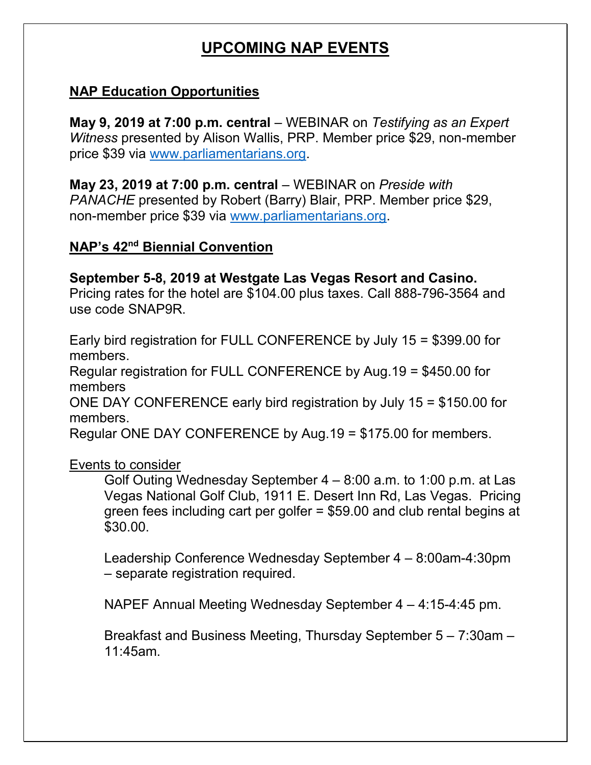## **UPCOMING NAP EVENTS**

## **NAP Education Opportunities**

**May 9, 2019 at 7:00 p.m. central** – WEBINAR on *Testifying as an Expert Witness* presented by Alison Wallis, PRP. Member price \$29, non-member price \$39 via [www.parliamentarians.org.](http://www.parliamentarians.org/)

**May 23, 2019 at 7:00 p.m. central** – WEBINAR on *Preside with PANACHE* presented by Robert (Barry) Blair, PRP. Member price \$29, non-member price \$39 via [www.parliamentarians.org.](http://www.parliamentarians.org/)

## **NAP's 42nd Biennial Convention**

#### **September 5-8, 2019 at Westgate Las Vegas Resort and Casino.**

Pricing rates for the hotel are \$104.00 plus taxes. Call 888-796-3564 and use code SNAP9R.

Early bird registration for FULL CONFERENCE by July 15 = \$399.00 for members.

Regular registration for FULL CONFERENCE by Aug.19 = \$450.00 for members

ONE DAY CONFERENCE early bird registration by July 15 = \$150.00 for members.

Regular ONE DAY CONFERENCE by Aug.19 = \$175.00 for members.

Events to consider

Golf Outing Wednesday September 4 – 8:00 a.m. to 1:00 p.m. at Las Vegas National Golf Club, 1911 E. Desert Inn Rd, Las Vegas. Pricing green fees including cart per golfer = \$59.00 and club rental begins at \$30.00.

Leadership Conference Wednesday September 4 – 8:00am-4:30pm – separate registration required.

NAPEF Annual Meeting Wednesday September 4 – 4:15-4:45 pm.

Breakfast and Business Meeting, Thursday September 5 – 7:30am – 11:45am.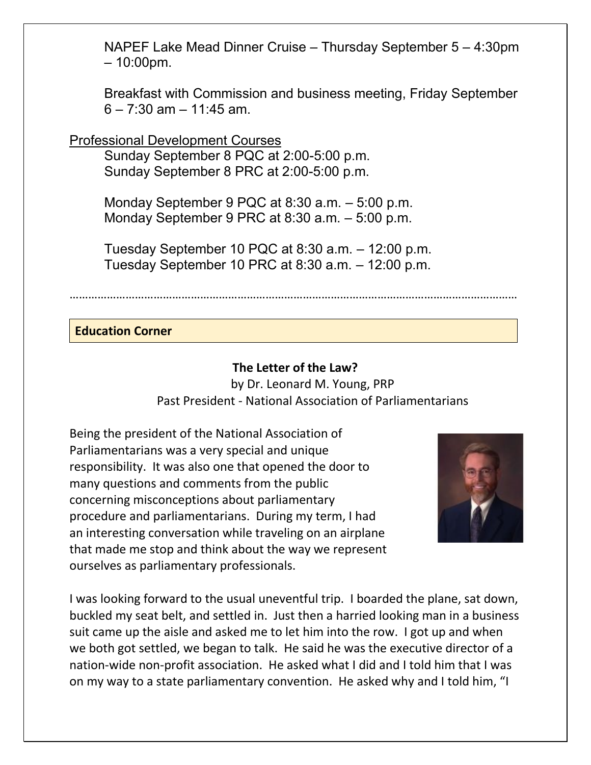NAPEF Lake Mead Dinner Cruise – Thursday September 5 – 4:30pm – 10:00pm.

Breakfast with Commission and business meeting, Friday September  $6 - 7:30$  am  $- 11:45$  am.

Professional Development Courses

Sunday September 8 PQC at 2:00-5:00 p.m. Sunday September 8 PRC at 2:00-5:00 p.m.

Monday September 9 PQC at 8:30 a.m. – 5:00 p.m. Monday September 9 PRC at 8:30 a.m. – 5:00 p.m.

Tuesday September 10 PQC at 8:30 a.m. – 12:00 p.m. Tuesday September 10 PRC at 8:30 a.m. – 12:00 p.m.

………………………………………………………………………………………………………………………………

#### **Education Corner**

#### **The Letter of the Law?**

by Dr. Leonard M. Young, PRP Past President - National Association of Parliamentarians

Being the president of the National Association of Parliamentarians was a very special and unique responsibility. It was also one that opened the door to many questions and comments from the public concerning misconceptions about parliamentary procedure and parliamentarians. During my term, I had an interesting conversation while traveling on an airplane that made me stop and think about the way we represent ourselves as parliamentary professionals.



I was looking forward to the usual uneventful trip. I boarded the plane, sat down, buckled my seat belt, and settled in. Just then a harried looking man in a business suit came up the aisle and asked me to let him into the row. I got up and when we both got settled, we began to talk. He said he was the executive director of a nation-wide non-profit association. He asked what I did and I told him that I was on my way to a state parliamentary convention. He asked why and I told him, "I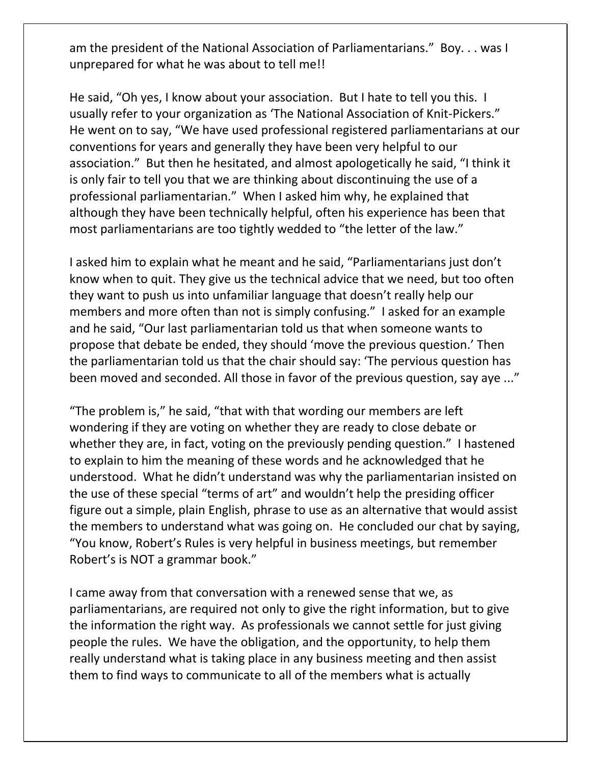am the president of the National Association of Parliamentarians." Boy. . . was I unprepared for what he was about to tell me!!

He said, "Oh yes, I know about your association. But I hate to tell you this. I usually refer to your organization as 'The National Association of Knit-Pickers." He went on to say, "We have used professional registered parliamentarians at our conventions for years and generally they have been very helpful to our association." But then he hesitated, and almost apologetically he said, "I think it is only fair to tell you that we are thinking about discontinuing the use of a professional parliamentarian." When I asked him why, he explained that although they have been technically helpful, often his experience has been that most parliamentarians are too tightly wedded to "the letter of the law."

I asked him to explain what he meant and he said, "Parliamentarians just don't know when to quit. They give us the technical advice that we need, but too often they want to push us into unfamiliar language that doesn't really help our members and more often than not is simply confusing." I asked for an example and he said, "Our last parliamentarian told us that when someone wants to propose that debate be ended, they should 'move the previous question.' Then the parliamentarian told us that the chair should say: 'The pervious question has been moved and seconded. All those in favor of the previous question, say aye ..."

"The problem is," he said, "that with that wording our members are left wondering if they are voting on whether they are ready to close debate or whether they are, in fact, voting on the previously pending question." I hastened to explain to him the meaning of these words and he acknowledged that he understood. What he didn't understand was why the parliamentarian insisted on the use of these special "terms of art" and wouldn't help the presiding officer figure out a simple, plain English, phrase to use as an alternative that would assist the members to understand what was going on. He concluded our chat by saying, "You know, Robert's Rules is very helpful in business meetings, but remember Robert's is NOT a grammar book."

I came away from that conversation with a renewed sense that we, as parliamentarians, are required not only to give the right information, but to give the information the right way. As professionals we cannot settle for just giving people the rules. We have the obligation, and the opportunity, to help them really understand what is taking place in any business meeting and then assist them to find ways to communicate to all of the members what is actually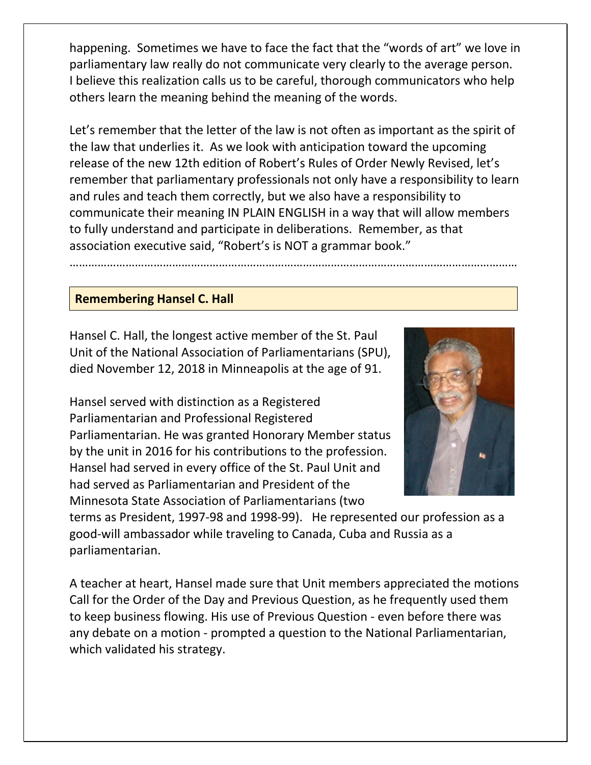happening. Sometimes we have to face the fact that the "words of art" we love in parliamentary law really do not communicate very clearly to the average person. I believe this realization calls us to be careful, thorough communicators who help others learn the meaning behind the meaning of the words.

Let's remember that the letter of the law is not often as important as the spirit of the law that underlies it. As we look with anticipation toward the upcoming release of the new 12th edition of Robert's Rules of Order Newly Revised, let's remember that parliamentary professionals not only have a responsibility to learn and rules and teach them correctly, but we also have a responsibility to communicate their meaning IN PLAIN ENGLISH in a way that will allow members to fully understand and participate in deliberations. Remember, as that association executive said, "Robert's is NOT a grammar book."

………………………………………………………………………………………………………………………………

#### **Remembering Hansel C. Hall**

Hansel C. Hall, the longest active member of the St. Paul Unit of the National Association of Parliamentarians (SPU), died November 12, 2018 in Minneapolis at the age of 91.

Hansel served with distinction as a Registered Parliamentarian and Professional Registered Parliamentarian. He was granted Honorary Member status by the unit in 2016 for his contributions to the profession. Hansel had served in every office of the St. Paul Unit and had served as Parliamentarian and President of the Minnesota State Association of Parliamentarians (two



terms as President, 1997-98 and 1998-99). He represented our profession as a good-will ambassador while traveling to Canada, Cuba and Russia as a parliamentarian.

A teacher at heart, Hansel made sure that Unit members appreciated the motions Call for the Order of the Day and Previous Question, as he frequently used them to keep business flowing. His use of Previous Question - even before there was any debate on a motion - prompted a question to the National Parliamentarian, which validated his strategy.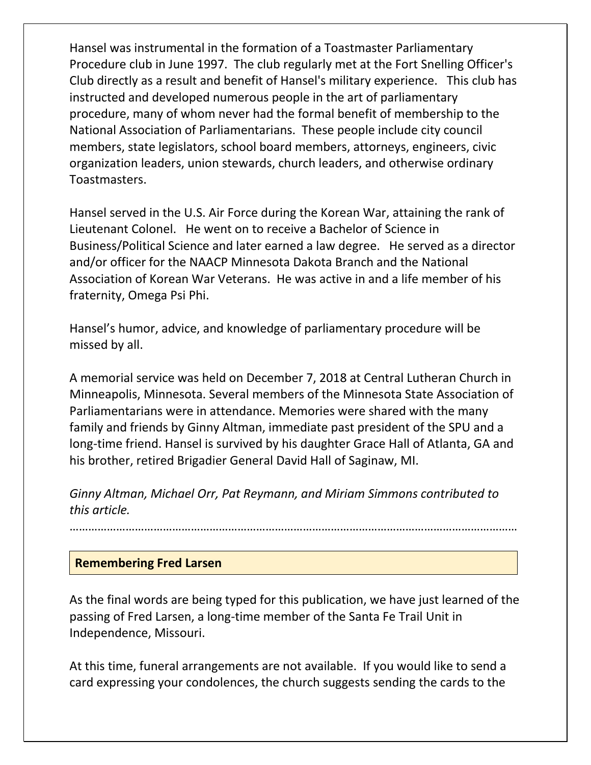Hansel was instrumental in the formation of a Toastmaster Parliamentary Procedure club in June 1997. The club regularly met at the Fort Snelling Officer's Club directly as a result and benefit of Hansel's military experience. This club has instructed and developed numerous people in the art of parliamentary procedure, many of whom never had the formal benefit of membership to the National Association of Parliamentarians. These people include city council members, state legislators, school board members, attorneys, engineers, civic organization leaders, union stewards, church leaders, and otherwise ordinary Toastmasters.

Hansel served in the U.S. Air Force during the Korean War, attaining the rank of Lieutenant Colonel. He went on to receive a Bachelor of Science in Business/Political Science and later earned a law degree. He served as a director and/or officer for the NAACP Minnesota Dakota Branch and the National Association of Korean War Veterans. He was active in and a life member of his fraternity, Omega Psi Phi.

Hansel's humor, advice, and knowledge of parliamentary procedure will be missed by all.

A memorial service was held on December 7, 2018 at Central Lutheran Church in Minneapolis, Minnesota. Several members of the Minnesota State Association of Parliamentarians were in attendance. Memories were shared with the many family and friends by Ginny Altman, immediate past president of the SPU and a long-time friend. Hansel is survived by his daughter Grace Hall of Atlanta, GA and his brother, retired Brigadier General David Hall of Saginaw, MI.

*Ginny Altman, Michael Orr, Pat Reymann, and Miriam Simmons contributed to this article.*

#### ………………………………………………………………………………………………………………………………

#### **Remembering Fred Larsen**

As the final words are being typed for this publication, we have just learned of the passing of Fred Larsen, a long-time member of the Santa Fe Trail Unit in Independence, Missouri.

At this time, funeral arrangements are not available. If you would like to send a card expressing your condolences, the church suggests sending the cards to the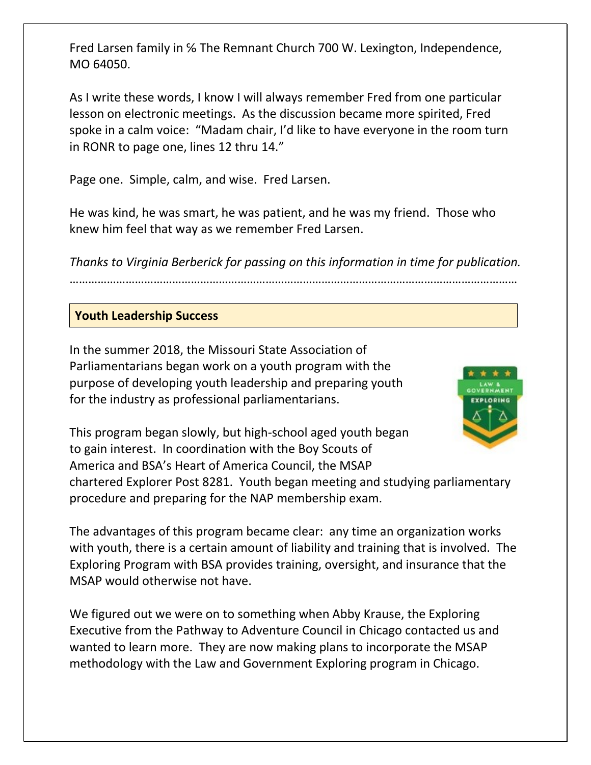Fred Larsen family in ℅ The Remnant Church 700 W. Lexington, Independence, MO 64050.

As I write these words, I know I will always remember Fred from one particular lesson on electronic meetings. As the discussion became more spirited, Fred spoke in a calm voice: "Madam chair, I'd like to have everyone in the room turn in RONR to page one, lines 12 thru 14."

Page one. Simple, calm, and wise. Fred Larsen.

He was kind, he was smart, he was patient, and he was my friend. Those who knew him feel that way as we remember Fred Larsen.

*Thanks to Virginia Berberick for passing on this information in time for publication.*

………………………………………………………………………………………………………………………………

#### **Youth Leadership Success**

In the summer 2018, the Missouri State Association of Parliamentarians began work on a youth program with the purpose of developing youth leadership and preparing youth for the industry as professional parliamentarians.



This program began slowly, but high-school aged youth began to gain interest. In coordination with the Boy Scouts of America and BSA's Heart of America Council, the MSAP chartered Explorer Post 8281. Youth began meeting and studying parliamentary

procedure and preparing for the NAP membership exam.

The advantages of this program became clear: any time an organization works with youth, there is a certain amount of liability and training that is involved. The Exploring Program with BSA provides training, oversight, and insurance that the MSAP would otherwise not have.

We figured out we were on to something when Abby Krause, the Exploring Executive from the Pathway to Adventure Council in Chicago contacted us and wanted to learn more. They are now making plans to incorporate the MSAP methodology with the Law and Government Exploring program in Chicago.